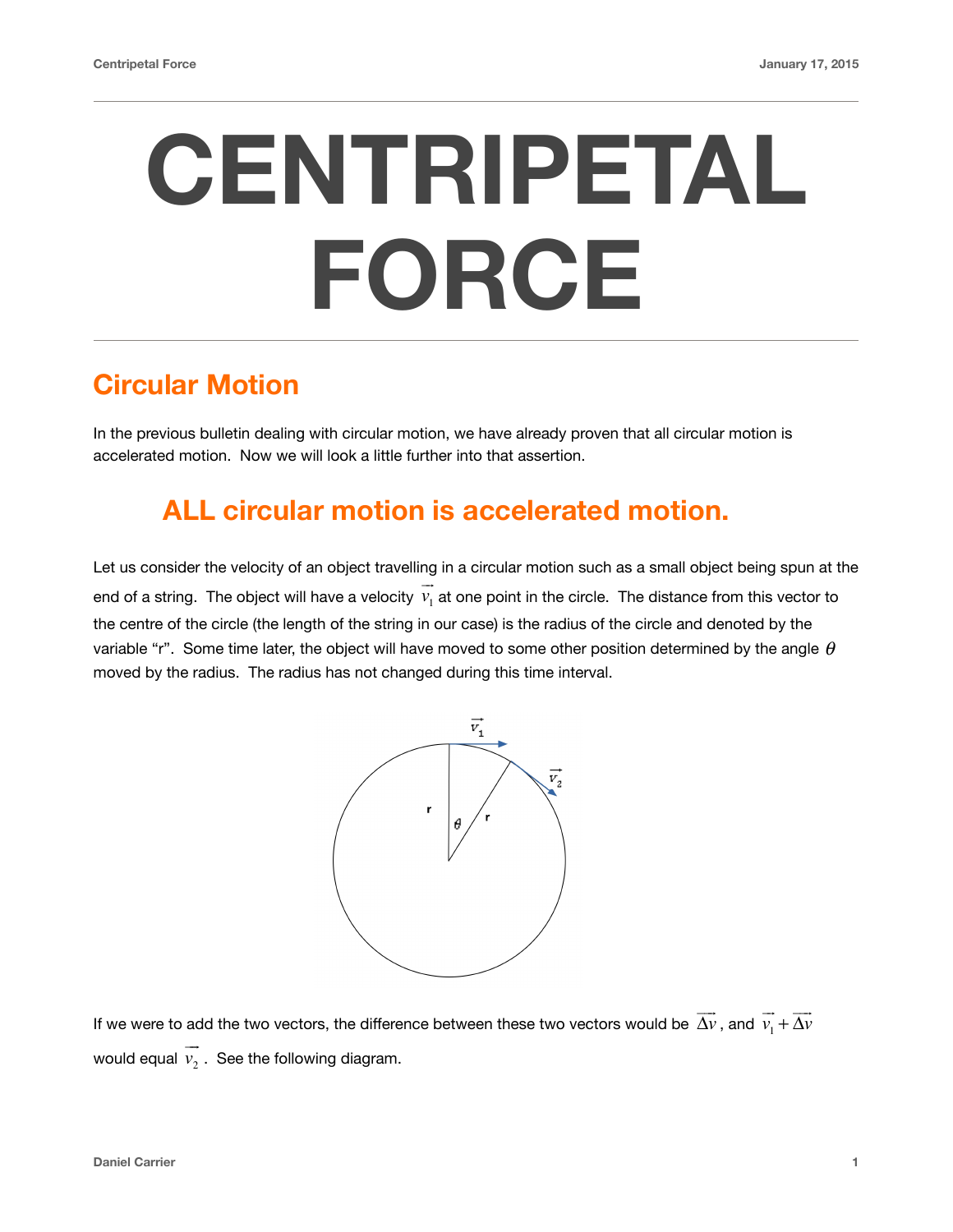# **CENTRIPETAL FORCE**

## **Circular Motion**

In the previous bulletin dealing with circular motion, we have already proven that all circular motion is accelerated motion. Now we will look a little further into that assertion.

## **ALL circular motion is accelerated motion.**

Let us consider the velocity of an object travelling in a circular motion such as a small object being spun at the end of a string. The object will have a velocity  $v_1$  at one point in the circle. The distance from this vector to the centre of the circle (the length of the string in our case) is the radius of the circle and denoted by the variable "r". Some time later, the object will have moved to some other position determined by the angle  $\theta$ moved by the radius. The radius has not changed during this time interval. !"



If we were to add the two vectors, the difference between these two vectors would be  $\overrightarrow{\Delta v}$  , and  $\overrightarrow{v_1}$ would equal  $v_2$  . See the following diagram. + Δ*v*  $\rightarrow$  $\rightarrow$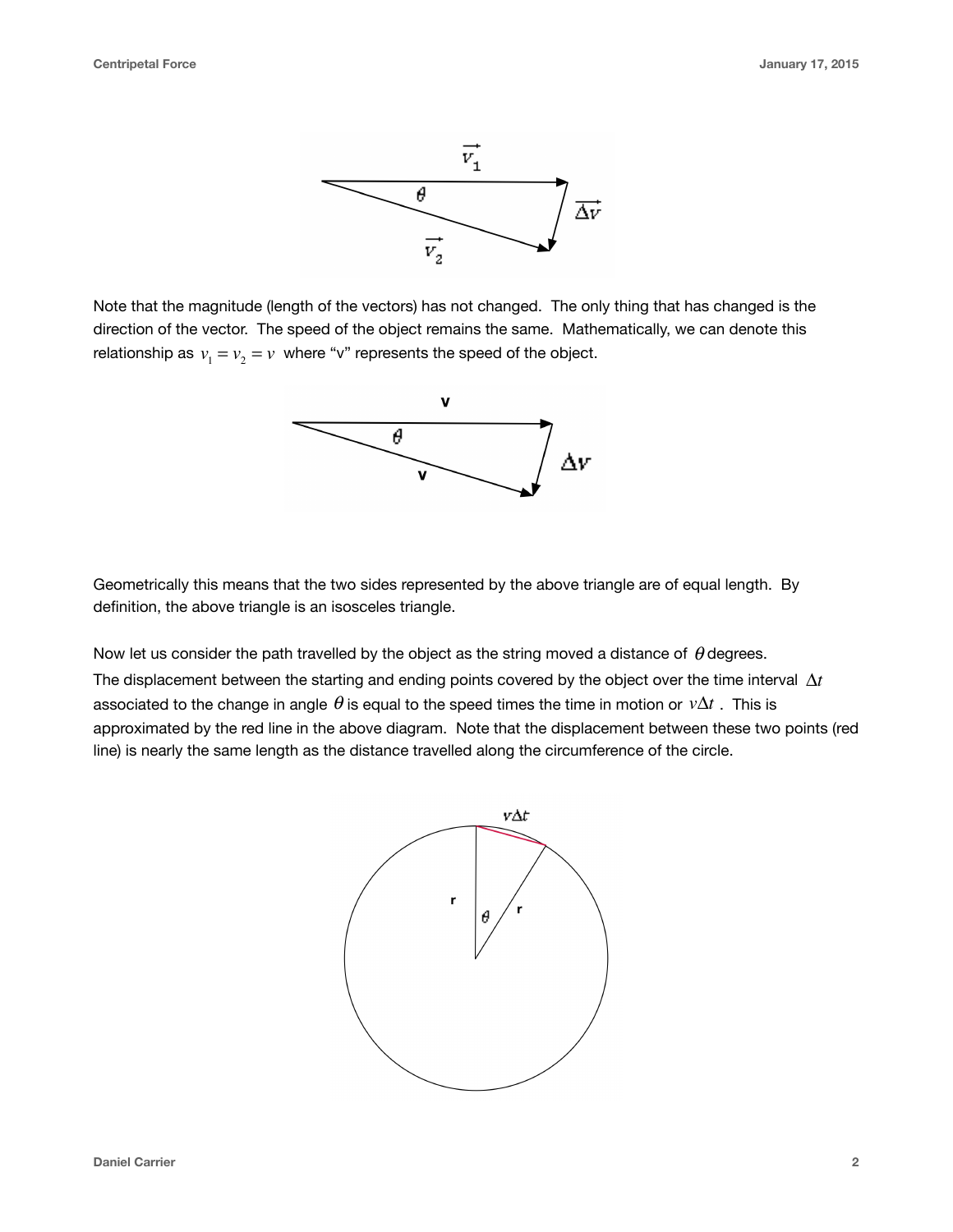

Note that the magnitude (length of the vectors) has not changed. The only thing that has changed is the direction of the vector. The speed of the object remains the same. Mathematically, we can denote this relationship as  $v_1 = v_2 = v$  where "v" represents the speed of the object.



Geometrically this means that the two sides represented by the above triangle are of equal length. By definition, the above triangle is an isosceles triangle.

Now let us consider the path travelled by the object as the string moved a distance of  $\theta$  degrees. The displacement between the starting and ending points covered by the object over the time interval  $\Delta t$ associated to the change in angle  $\theta$  is equal to the speed times the time in motion or  $\mathit{v}\Delta t$  . This is approximated by the red line in the above diagram. Note that the displacement between these two points (red line) is nearly the same length as the distance travelled along the circumference of the circle.

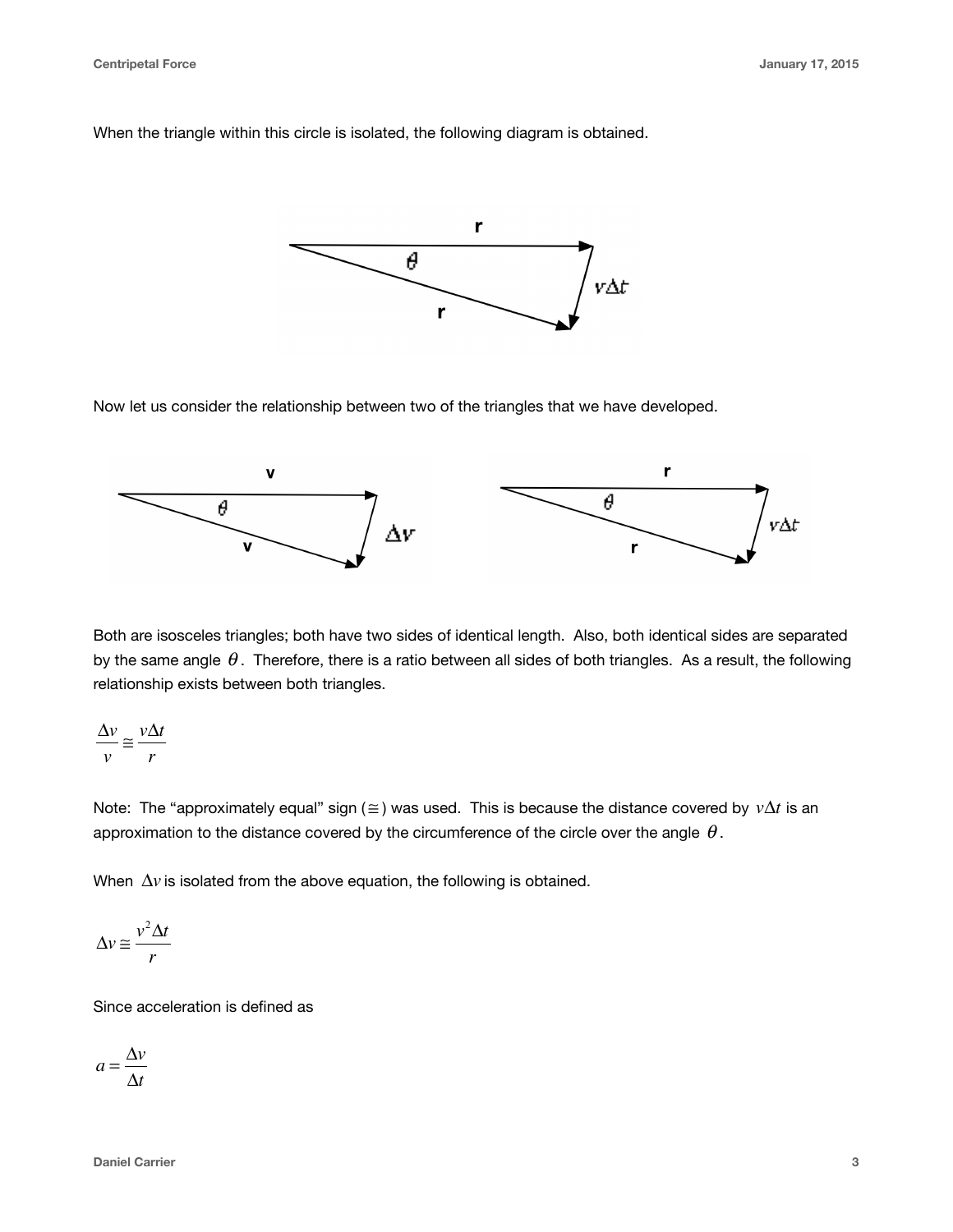When the triangle within this circle is isolated, the following diagram is obtained.



Now let us consider the relationship between two of the triangles that we have developed.



Both are isosceles triangles; both have two sides of identical length. Also, both identical sides are separated by the same angle  $\theta$ . Therefore, there is a ratio between all sides of both triangles. As a result, the following relationship exists between both triangles.

$$
\frac{\Delta v}{v} \cong \frac{v\Delta t}{r}
$$

Note: The "approximately equal" sign ( $\cong$ ) was used. This is because the distance covered by  $v\Delta t$  is an approximation to the distance covered by the circumference of the circle over the angle  $\,\theta$  .

When  $\Delta v$  is isolated from the above equation, the following is obtained.

$$
\Delta v \equiv \frac{v^2 \Delta t}{r}
$$

Since acceleration is defined as

 $a = \frac{\Delta v}{\Delta t}$ Δ*t*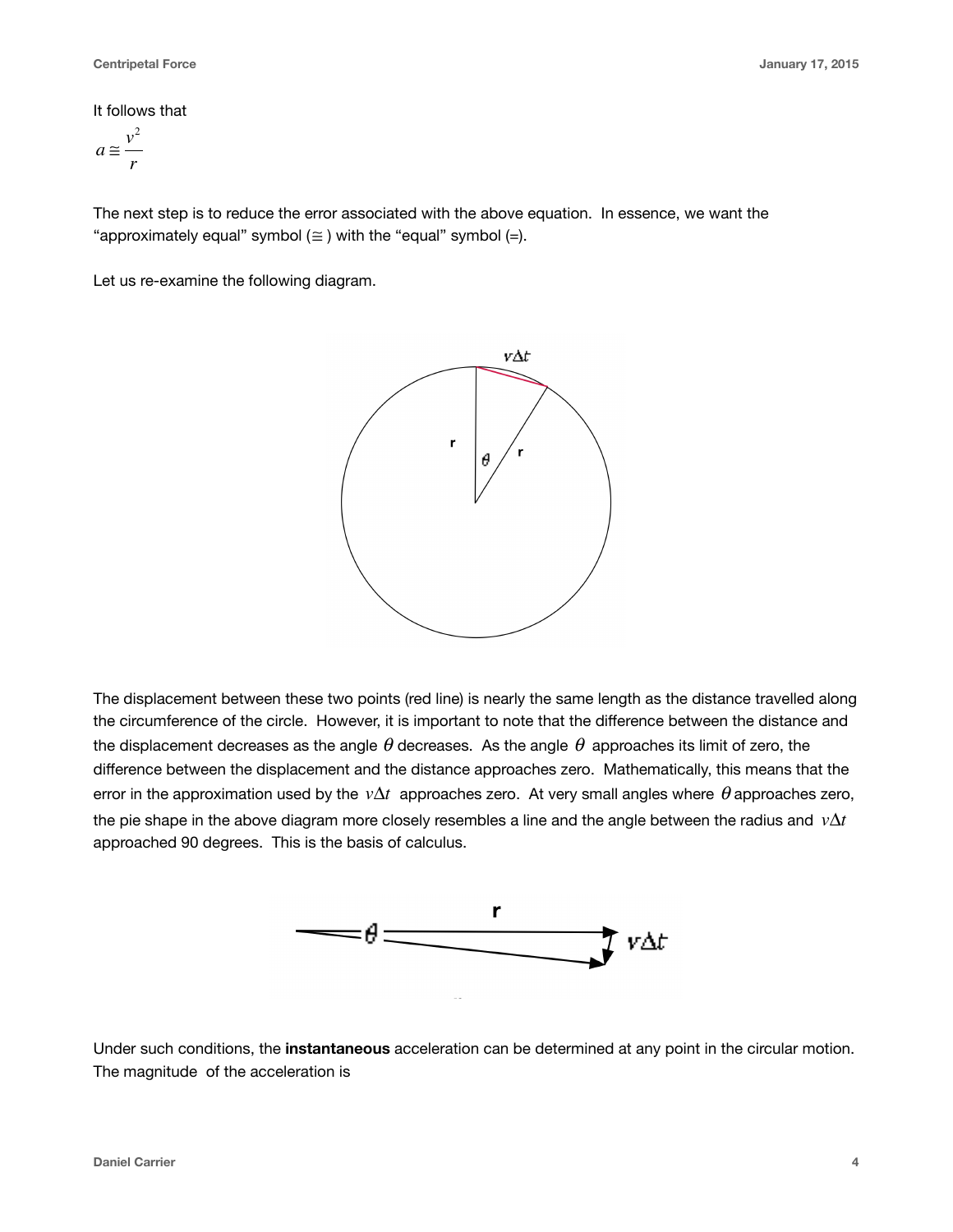#### It follows that

$$
a\equiv \frac{v^2}{r}
$$

The next step is to reduce the error associated with the above equation. In essence, we want the "approximately equal" symbol  $(\equiv)$  with the "equal" symbol  $(=)$ .

Let us re-examine the following diagram.



The displacement between these two points (red line) is nearly the same length as the distance travelled along the circumference of the circle. However, it is important to note that the difference between the distance and the displacement decreases as the angle  $\theta$  decreases. As the angle  $\theta$  approaches its limit of zero, the difference between the displacement and the distance approaches zero. Mathematically, this means that the error in the approximation used by the  $v\Delta t$  approaches zero. At very small angles where  $\theta$  approaches zero, the pie shape in the above diagram more closely resembles a line and the angle between the radius and *v*Δ*t* approached 90 degrees. This is the basis of calculus.



Under such conditions, the **instantaneous** acceleration can be determined at any point in the circular motion. The magnitude of the acceleration is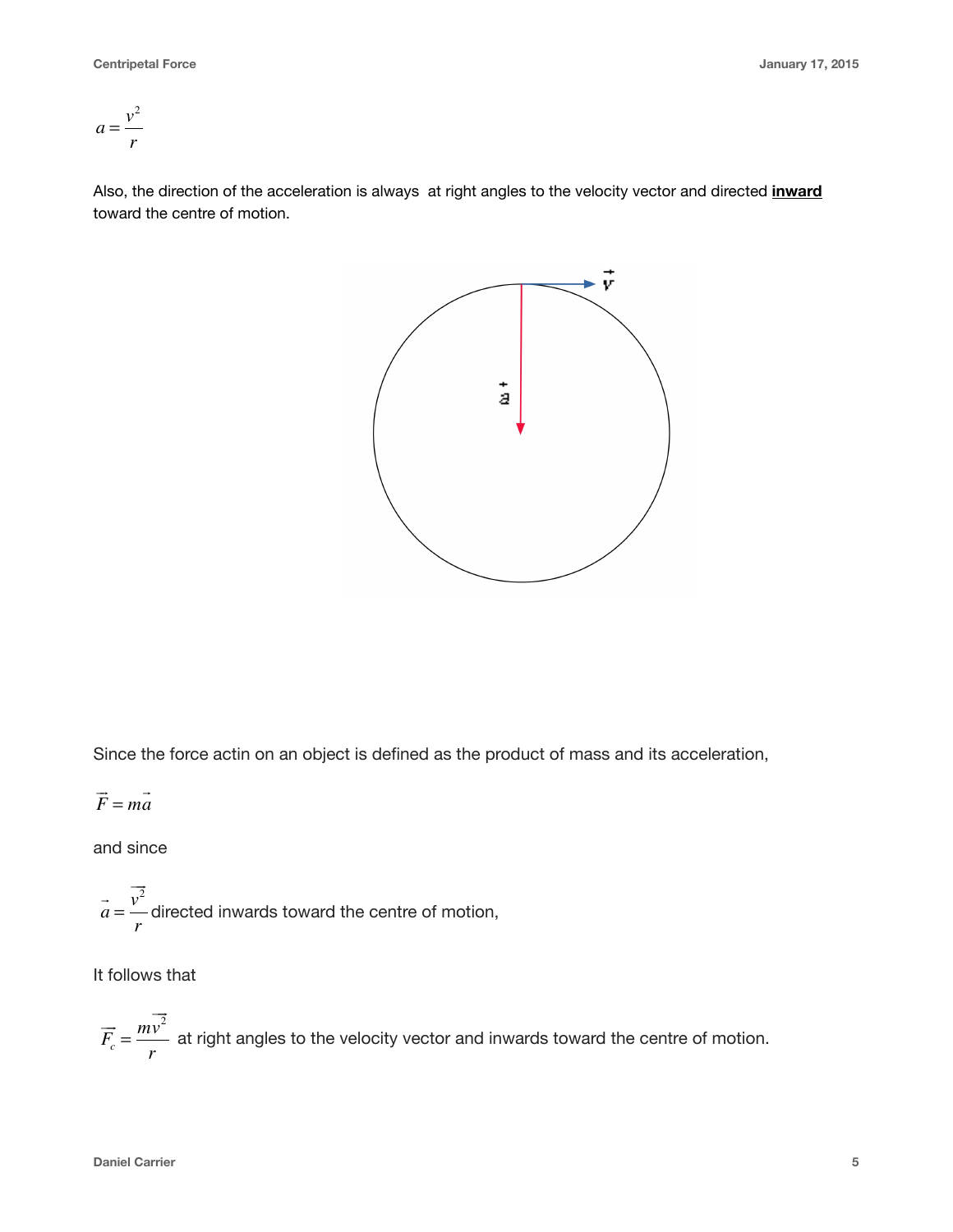$$
a = \frac{v^2}{r}
$$

Also, the direction of the acceleration is always at right angles to the velocity vector and directed **inward** toward the centre of motion.



Since the force actin on an object is defined as the product of mass and its acceleration,

$$
\vec{F} = m\vec{a}
$$

and since

 $a =$  — directed inwards toward the centre of motion,  $\vec{a} = \frac{\vec{v}^2}{\vec{a}}$ *r*

It follows that

 $F_c = \frac{mv}{r}$  at right angles to the velocity vector and inwards toward the centre of motion.  $\overrightarrow{F}_c = \frac{m\overrightarrow{v}^2}{m}$ *r*